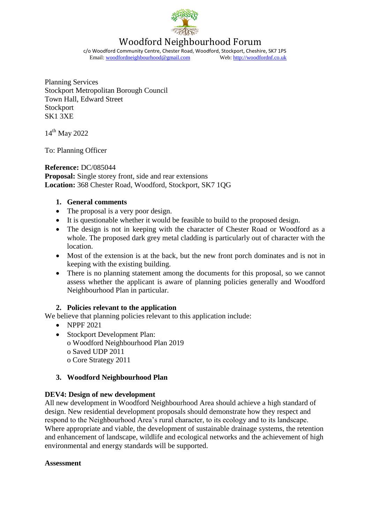

# Woodford Neighbourhood Forum

c/o Woodford Community Centre, Chester Road, Woodford, Stockport, Cheshire, SK7 1PS Email: [woodfordneighbourhood@gmail.com](mailto:woodfordneighbourhood@gmail.com) Web[: http://woodfordnf.co.uk](http://woodfordnf.co.uk/)

Planning Services Stockport Metropolitan Borough Council Town Hall, Edward Street **Stockport** SK1 3XE

14<sup>th</sup> May 2022

To: Planning Officer

**Reference:** DC/085044 **Proposal:** Single storey front, side and rear extensions **Location:** 368 Chester Road, Woodford, Stockport, SK7 1QG

#### **1. General comments**

- The proposal is a very poor design.
- It is questionable whether it would be feasible to build to the proposed design.
- The design is not in keeping with the character of Chester Road or Woodford as a whole. The proposed dark grey metal cladding is particularly out of character with the location.
- Most of the extension is at the back, but the new front porch dominates and is not in keeping with the existing building.
- There is no planning statement among the documents for this proposal, so we cannot assess whether the applicant is aware of planning policies generally and Woodford Neighbourhood Plan in particular.

#### **2. Policies relevant to the application**

We believe that planning policies relevant to this application include:

- NPPF 2021
- Stockport Development Plan: o Woodford Neighbourhood Plan 2019 o Saved UDP 2011 o Core Strategy 2011

#### **3. Woodford Neighbourhood Plan**

#### **DEV4: Design of new development**

All new development in Woodford Neighbourhood Area should achieve a high standard of design. New residential development proposals should demonstrate how they respect and respond to the Neighbourhood Area's rural character, to its ecology and to its landscape. Where appropriate and viable, the development of sustainable drainage systems, the retention and enhancement of landscape, wildlife and ecological networks and the achievement of high environmental and energy standards will be supported.

#### **Assessment**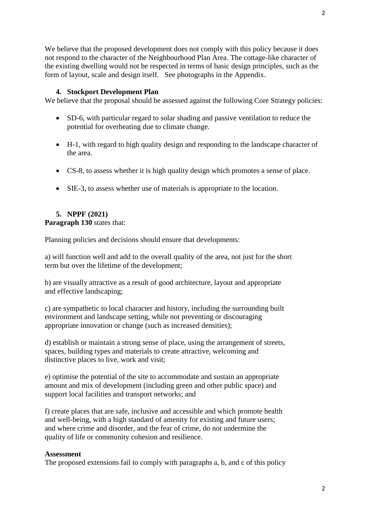2

We believe that the proposed development does not comply with this policy because it does not respond to the character of the Neighbourhood Plan Area. The cottage-like character of the existing dwelling would not be respected in terms of basic design principles, such as the form of layout, scale and design itself. See photographs in the Appendix.

### **4. Stockport Development Plan**

We believe that the proposal should be assessed against the following Core Strategy policies:

- SD-6, with particular regard to solar shading and passive ventilation to reduce the potential for overheating due to climate change.
- H-1, with regard to high quality design and responding to the landscape character of the area.
- CS-8, to assess whether it is high quality design which promotes a sense of place.
- SIE-3, to assess whether use of materials is appropriate to the location.

## **5. NPPF (2021)**

**Paragraph 130** states that:

Planning policies and decisions should ensure that developments:

a) will function well and add to the overall quality of the area, not just for the short term but over the lifetime of the development;

b) are visually attractive as a result of good architecture, layout and appropriate and effective landscaping;

c) are sympathetic to local character and history, including the surrounding built environment and landscape setting, while not preventing or discouraging appropriate innovation or change (such as increased densities);

d) establish or maintain a strong sense of place, using the arrangement of streets, spaces, building types and materials to create attractive, welcoming and distinctive places to live, work and visit;

e) optimise the potential of the site to accommodate and sustain an appropriate amount and mix of development (including green and other public space) and support local facilities and transport networks; and

f) create places that are safe, inclusive and accessible and which promote health and well-being, with a high standard of amenity for existing and future users; and where crime and disorder, and the fear of crime, do not undermine the quality of life or community cohesion and resilience.

#### **Assessment**

The proposed extensions fail to comply with paragraphs a, b, and c of this policy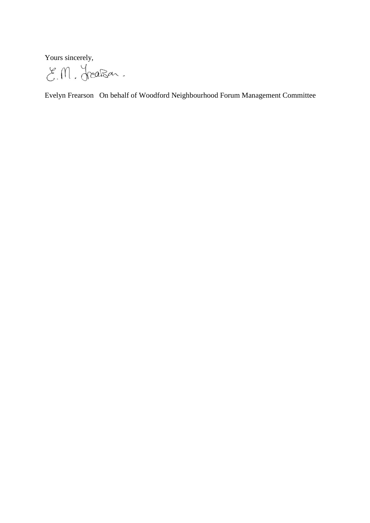Yours sincerely,

E.M. Jreason.

Evelyn Frearson On behalf of Woodford Neighbourhood Forum Management Committee